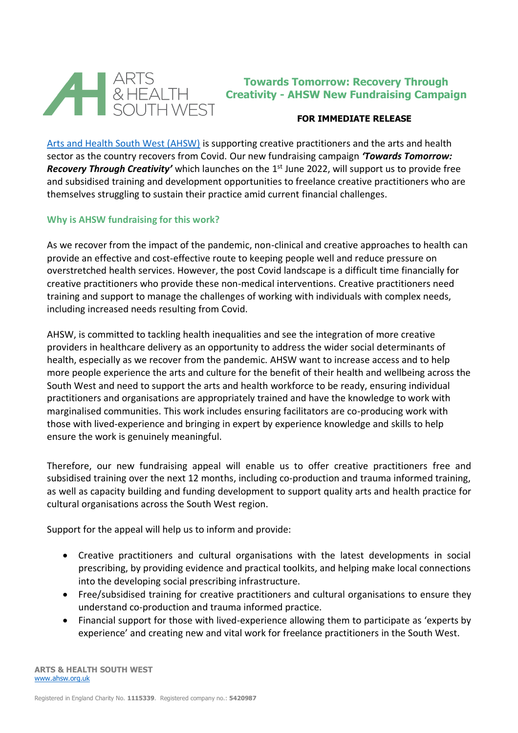

# **Towards Tomorrow: Recovery Through Creativity - AHSW New Fundraising Campaign**

## **FOR IMMEDIATE RELEASE**

[Arts and Health South West \(AHSW\)](https://www.ahsw.org.uk/) is supporting creative practitioners and the arts and health sector as the country recovers from Covid. Our new fundraising campaign *'Towards Tomorrow: Recovery Through Creativity'* which launches on the 1<sup>st</sup> June 2022, will support us to provide free and subsidised training and development opportunities to freelance creative practitioners who are themselves struggling to sustain their practice amid current financial challenges.

### **Why is AHSW fundraising for this work?**

As we recover from the impact of the pandemic, non-clinical and creative approaches to health can provide an effective and cost-effective route to keeping people well and reduce pressure on overstretched health services. However, the post Covid landscape is a difficult time financially for creative practitioners who provide these non-medical interventions. Creative practitioners need training and support to manage the challenges of working with individuals with complex needs, including increased needs resulting from Covid.

AHSW, is committed to tackling health inequalities and see the integration of more creative providers in healthcare delivery as an opportunity to address the wider social determinants of health, especially as we recover from the pandemic. AHSW want to increase access and to help more people experience the arts and culture for the benefit of their health and wellbeing across the South West and need to support the arts and health workforce to be ready, ensuring individual practitioners and organisations are appropriately trained and have the knowledge to work with marginalised communities. This work includes ensuring facilitators are co-producing work with those with lived-experience and bringing in expert by experience knowledge and skills to help ensure the work is genuinely meaningful.

Therefore, our new fundraising appeal will enable us to offer creative practitioners free and subsidised training over the next 12 months, including co-production and trauma informed training, as well as capacity building and funding development to support quality arts and health practice for cultural organisations across the South West region.

Support for the appeal will help us to inform and provide:

- Creative practitioners and cultural organisations with the latest developments in social prescribing, by providing evidence and practical toolkits, and helping make local connections into the developing social prescribing infrastructure.
- Free/subsidised training for creative practitioners and cultural organisations to ensure they understand co-production and trauma informed practice.
- Financial support for those with lived-experience allowing them to participate as 'experts by experience' and creating new and vital work for freelance practitioners in the South West.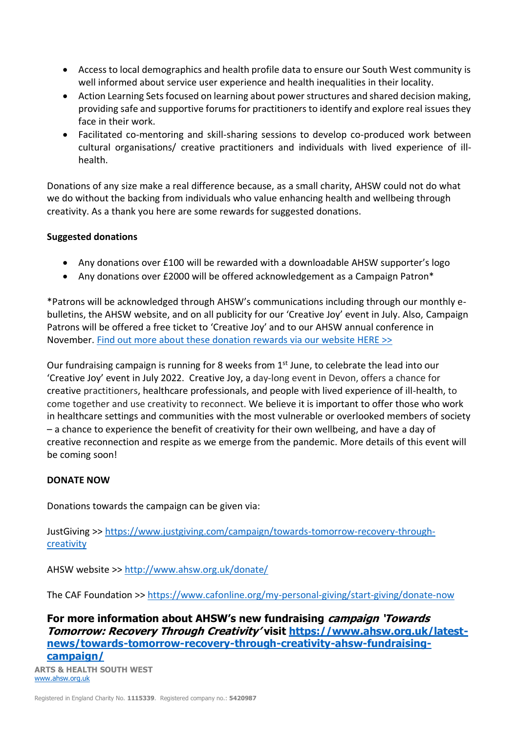- Access to local demographics and health profile data to ensure our South West community is well informed about service user experience and health inequalities in their locality.
- Action Learning Sets focused on learning about power structures and shared decision making, providing safe and supportive forums for practitioners to identify and explore real issues they face in their work.
- Facilitated co-mentoring and skill-sharing sessions to develop co-produced work between cultural organisations/ creative practitioners and individuals with lived experience of illhealth.

Donations of any size make a real difference because, as a small charity, AHSW could not do what we do without the backing from individuals who value enhancing health and wellbeing through creativity. As a thank you here are some rewards for suggested donations.

## **Suggested donations**

- Any donations over £100 will be rewarded with a downloadable AHSW supporter's logo
- Any donations over £2000 will be offered acknowledgement as a Campaign Patron\*

\*Patrons will be acknowledged through AHSW's communications including through our monthly ebulletins, the AHSW website, and on all publicity for our 'Creative Joy' event in July. Also, Campaign Patrons will be offered a free ticket to 'Creative Joy' and to our AHSW annual conference in November. [Find out more about these donation rewards via our website HERE >>](https://www.ahsw.org.uk/latest-news/towards-tomorrow-recovery-through-creativity-ahsw-fundraising-campaign/)

Our fundraising campaign is running for 8 weeks from  $1<sup>st</sup>$  June, to celebrate the lead into our 'Creative Joy' event in July 2022. Creative Joy, a day-long event in Devon, offers a chance for creative practitioners, healthcare professionals, and people with lived experience of ill-health, to come together and use creativity to reconnect. We believe it is important to offer those who work in healthcare settings and communities with the most vulnerable or overlooked members of society – a chance to experience the benefit of creativity for their own wellbeing, and have a day of creative reconnection and respite as we emerge from the pandemic. More details of this event will be coming soon!

## **DONATE NOW**

Donations towards the campaign can be given via:

JustGiving >> [https://www.justgiving.com/campaign/towards-tomorrow-recovery-through](https://www.justgiving.com/campaign/towards-tomorrow-recovery-through-creativity)[creativity](https://www.justgiving.com/campaign/towards-tomorrow-recovery-through-creativity)

AHSW website >><http://www.ahsw.org.uk/donate/>

The CAF Foundation >><https://www.cafonline.org/my-personal-giving/start-giving/donate-now>

**For more information about AHSW's new fundraising campaign 'Towards Tomorrow: Recovery Through Creativity' visit [https://www.ahsw.org.uk/latest](https://www.ahsw.org.uk/latest-news/towards-tomorrow-recovery-through-creativity-ahsw-fundraising-campaign/)[news/towards-tomorrow-recovery-through-creativity-ahsw-fundraising](https://www.ahsw.org.uk/latest-news/towards-tomorrow-recovery-through-creativity-ahsw-fundraising-campaign/)[campaign/](https://www.ahsw.org.uk/latest-news/towards-tomorrow-recovery-through-creativity-ahsw-fundraising-campaign/)**

**ARTS & HEALTH SOUTH WEST**  [www.ahsw.org.uk](http://www.ahsw.org.uk/)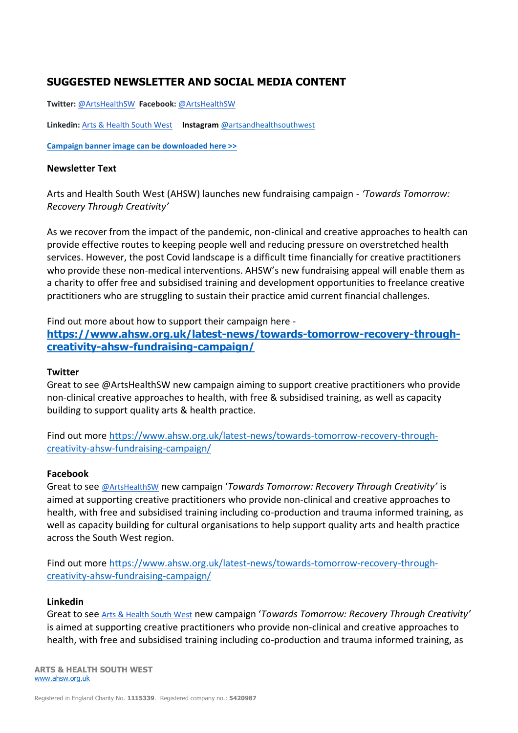# **SUGGESTED NEWSLETTER AND SOCIAL MEDIA CONTENT**

**Twitter:** [@ArtsHealthSW](https://twitter.com/artshealthsw) **Facebook:** [@ArtsHealthSW](https://www.facebook.com/ArtsHealthSW/) 

**Linkedin:** [Arts & Health South West](https://www.linkedin.com/company/arts-&-health-south-west/about/) **Instagram** [@artsandhealthsouthwest](https://www.instagram.com/artsandhealthsouthwest/)

**Campaign banner image [can be downloaded here >>](https://www.ahsw.org.uk/wp-content/uploads/2022/05/Towards-Tomorrow-Square-Banner.jpg)**

#### **Newsletter Text**

Arts and Health South West (AHSW) launches new fundraising campaign - *'Towards Tomorrow: Recovery Through Creativity'*

As we recover from the impact of the pandemic, non-clinical and creative approaches to health can provide effective routes to keeping people well and reducing pressure on overstretched health services. However, the post Covid landscape is a difficult time financially for creative practitioners who provide these non-medical interventions. AHSW's new fundraising appeal will enable them as a charity to offer free and subsidised training and development opportunities to freelance creative practitioners who are struggling to sustain their practice amid current financial challenges.

Find out more about how to support their campaign here -

**[https://www.ahsw.org.uk/latest-news/towards-tomorrow-recovery-through](https://www.ahsw.org.uk/latest-news/towards-tomorrow-recovery-through-creativity-ahsw-fundraising-campaign/)[creativity-ahsw-fundraising-campaign/](https://www.ahsw.org.uk/latest-news/towards-tomorrow-recovery-through-creativity-ahsw-fundraising-campaign/)**

#### **Twitter**

Great to see @ArtsHealthSW new campaign aiming to support creative practitioners who provide non-clinical creative approaches to health, with free & subsidised training, as well as capacity building to support quality arts & health practice.

Find out more [https://www.ahsw.org.uk/latest-news/towards-tomorrow-recovery-through](https://www.ahsw.org.uk/latest-news/towards-tomorrow-recovery-through-creativity-ahsw-fundraising-campaign/)[creativity-ahsw-fundraising-campaign/](https://www.ahsw.org.uk/latest-news/towards-tomorrow-recovery-through-creativity-ahsw-fundraising-campaign/)

#### **Facebook**

Great to see [@ArtsHealthSW](https://www.facebook.com/ArtsHealthSW/) new campaign '*Towards Tomorrow: Recovery Through Creativity'* is aimed at supporting creative practitioners who provide non-clinical and creative approaches to health, with free and subsidised training including co-production and trauma informed training, as well as capacity building for cultural organisations to help support quality arts and health practice across the South West region.

Find out more [https://www.ahsw.org.uk/latest-news/towards-tomorrow-recovery-through](https://www.ahsw.org.uk/latest-news/towards-tomorrow-recovery-through-creativity-ahsw-fundraising-campaign/)[creativity-ahsw-fundraising-campaign/](https://www.ahsw.org.uk/latest-news/towards-tomorrow-recovery-through-creativity-ahsw-fundraising-campaign/)

#### **Linkedin**

Great to see [Arts & Health South West](https://www.linkedin.com/company/arts-&-health-south-west/about/) new campaign '*Towards Tomorrow: Recovery Through Creativity'* is aimed at supporting creative practitioners who provide non-clinical and creative approaches to health, with free and subsidised training including co-production and trauma informed training, as

**ARTS & HEALTH SOUTH WEST**  [www.ahsw.org.uk](http://www.ahsw.org.uk/)